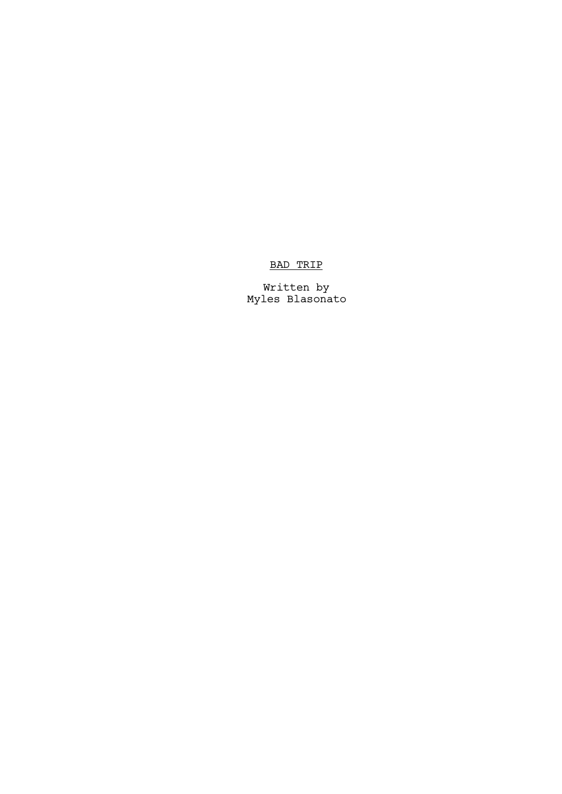## BAD TRIP

Written by Myles Blasonato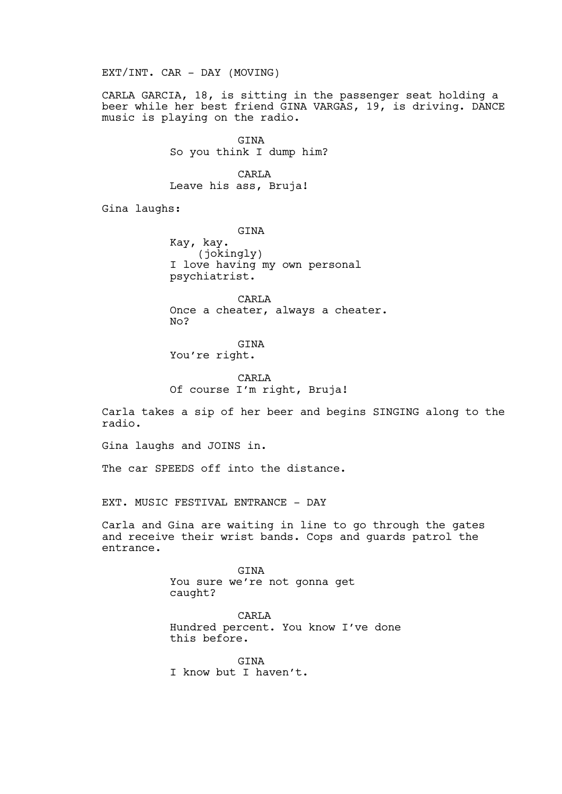EXT/INT. CAR - DAY (MOVING)

CARLA GARCIA, 18, is sitting in the passenger seat holding a beer while her best friend GINA VARGAS, 19, is driving. DANCE music is playing on the radio.

> GINA So you think I dump him?

**CARLA** Leave his ass, Bruja!

Gina laughs:

GINA Kay, kay. (jokingly) I love having my own personal psychiatrist.

CARLA Once a cheater, always a cheater. No?

GINA

You're right.

CARLA Of course I'm right, Bruja!

Carla takes a sip of her beer and begins SINGING along to the radio.

Gina laughs and JOINS in.

The car SPEEDS off into the distance.

EXT. MUSIC FESTIVAL ENTRANCE - DAY

Carla and Gina are waiting in line to go through the gates and receive their wrist bands. Cops and guards patrol the entrance.

> GINA You sure we're not gonna get caught?

CARLA Hundred percent. You know I've done this before.

GINA I know but I haven't.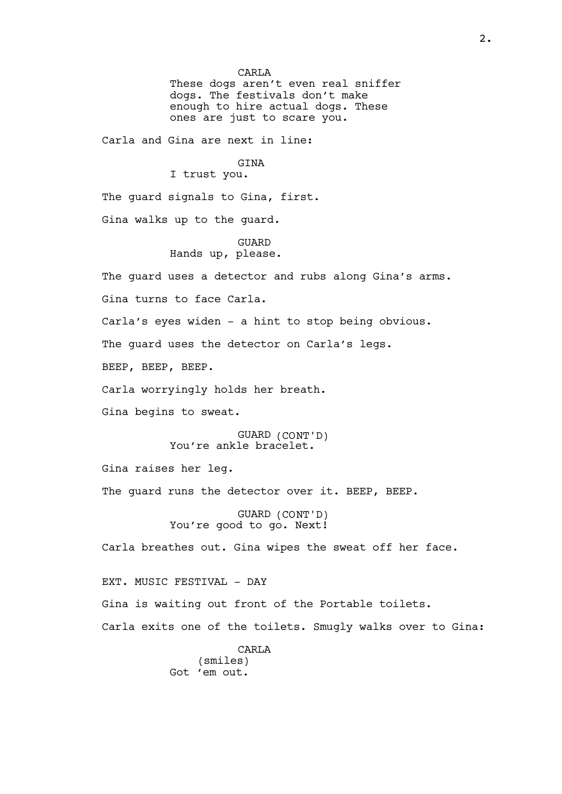CARL<sub>A</sub> These dogs aren't even real sniffer dogs. The festivals don't make enough to hire actual dogs. These ones are just to scare you. Carla and Gina are next in line: GINA I trust you. The guard signals to Gina, first. Gina walks up to the guard. GUARD Hands up, please. The guard uses a detector and rubs along Gina's arms. Gina turns to face Carla. Carla's eyes widen - a hint to stop being obvious. The guard uses the detector on Carla's legs. BEEP, BEEP, BEEP. Carla worryingly holds her breath. Gina begins to sweat. GUARD (CONT'D) You're ankle bracelet. Gina raises her leg. The quard runs the detector over it. BEEP, BEEP. GUARD (CONT'D) You're good to go. Next! Carla breathes out. Gina wipes the sweat off her face. EXT. MUSIC FESTIVAL - DAY Gina is waiting out front of the Portable toilets. Carla exits one of the toilets. Smugly walks over to Gina:

**CARLA** (smiles) Got 'em out.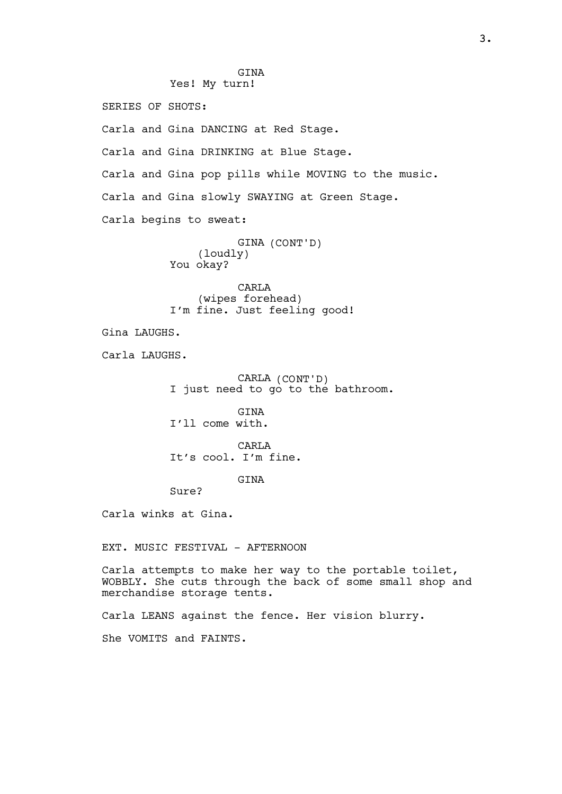**GTNA** Yes! My turn! SERIES OF SHOTS: Carla and Gina DANCING at Red Stage. Carla and Gina DRINKING at Blue Stage. Carla and Gina pop pills while MOVING to the music. Carla and Gina slowly SWAYING at Green Stage. Carla begins to sweat: GINA (CONT'D) (loudly) You okay? CARLA (wipes forehead) I'm fine. Just feeling good! Gina LAUGHS. Carla LAUGHS. CARLA (CONT'D) I just need to go to the bathroom. **GTNA** I'll come with. **CARLA** It's cool. I'm fine. **GTNA** Sure? Carla winks at Gina. EXT. MUSIC FESTIVAL - AFTERNOON Carla attempts to make her way to the portable toilet, WOBBLY. She cuts through the back of some small shop and merchandise storage tents. Carla LEANS against the fence. Her vision blurry. She VOMITS and FAINTS.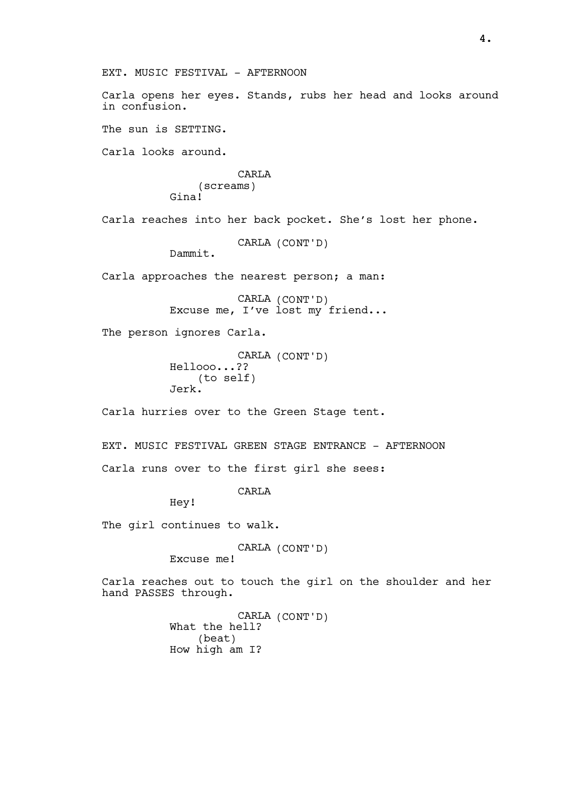Carla opens her eyes. Stands, rubs her head and looks around in confusion. The sun is SETTING. Carla looks around. **CARLA** (screams) Gina! Carla reaches into her back pocket. She's lost her phone. CARLA (CONT'D) Dammit. Carla approaches the nearest person; a man: CARLA (CONT'D) Excuse me, I've lost my friend... The person ignores Carla. CARLA (CONT'D) Hellooo...?? (to self) Jerk. Carla hurries over to the Green Stage tent.

EXT. MUSIC FESTIVAL GREEN STAGE ENTRANCE - AFTERNOON Carla runs over to the first girl she sees:

CARL<sub>A</sub>

Hey!

The girl continues to walk.

CARLA (CONT'D)

Excuse me!

EXT. MUSIC FESTIVAL - AFTERNOON

Carla reaches out to touch the girl on the shoulder and her hand PASSES through.

> CARLA (CONT'D) What the hell? (beat) How high am I?

4.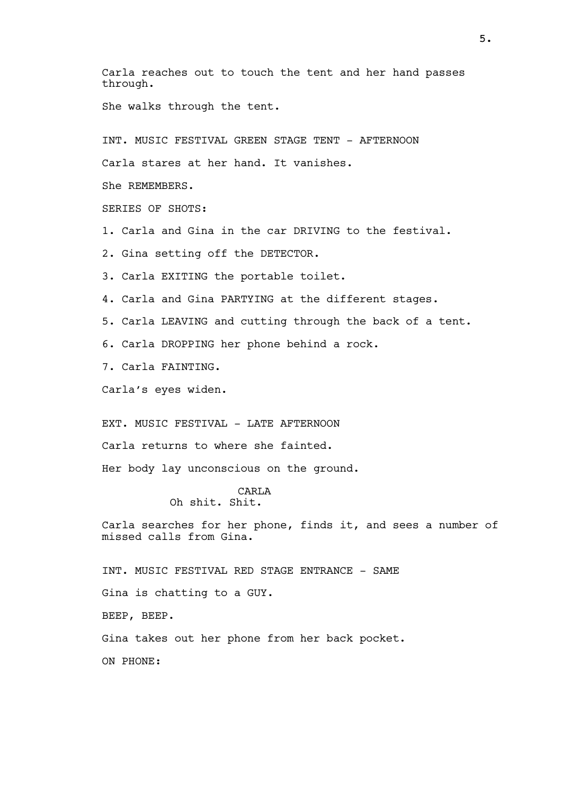Carla reaches out to touch the tent and her hand passes through. She walks through the tent. INT. MUSIC FESTIVAL GREEN STAGE TENT - AFTERNOON Carla stares at her hand. It vanishes. She REMEMBERS. SERIES OF SHOTS: 1. Carla and Gina in the car DRIVING to the festival. 2. Gina setting off the DETECTOR. 3. Carla EXITING the portable toilet. 4. Carla and Gina PARTYING at the different stages. 5. Carla LEAVING and cutting through the back of a tent. 6. Carla DROPPING her phone behind a rock. 7. Carla FAINTING. Carla's eyes widen. EXT. MUSIC FESTIVAL - LATE AFTERNOON Carla returns to where she fainted. Her body lay unconscious on the ground. CARLA Oh shit. Shit. Carla searches for her phone, finds it, and sees a number of missed calls from Gina. INT. MUSIC FESTIVAL RED STAGE ENTRANCE - SAME Gina is chatting to a GUY. BEEP, BEEP. Gina takes out her phone from her back pocket. ON PHONE:

5.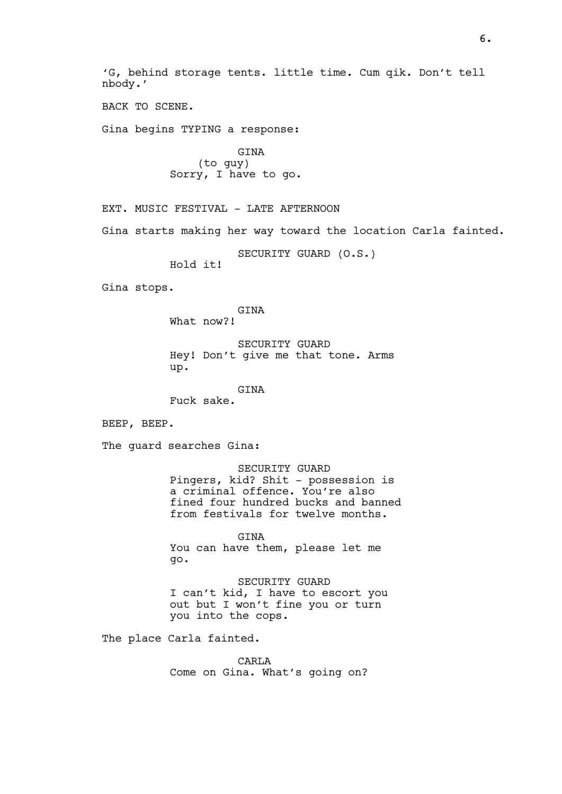'G, behind storage tents. little time. Cum qik. Don't tell nbody.'

BACK TO SCENE.

Gina begins TYPING a response:

GINA (to guy) Sorry, I have to go.

EXT. MUSIC FESTIVAL - LATE AFTERNOON

Gina starts making her way toward the location Carla fainted.

SECURITY GUARD (O.S.)

Hold it!

Gina stops.

GINA

What now?!

SECURITY GUARD Hey! Don't give me that tone. Arms up.

GINA

Fuck sake.

BEEP, BEEP.

The guard searches Gina:

SECURITY GUARD Pingers, kid? Shit - possession is a criminal offence. You're also fined four hundred bucks and banned from festivals for twelve months.

GINA You can have them, please let me go.

SECURITY GUARD I can't kid, I have to escort you out but I won't fine you or turn you into the cops.

The place Carla fainted.

CARLA Come on Gina. What's going on?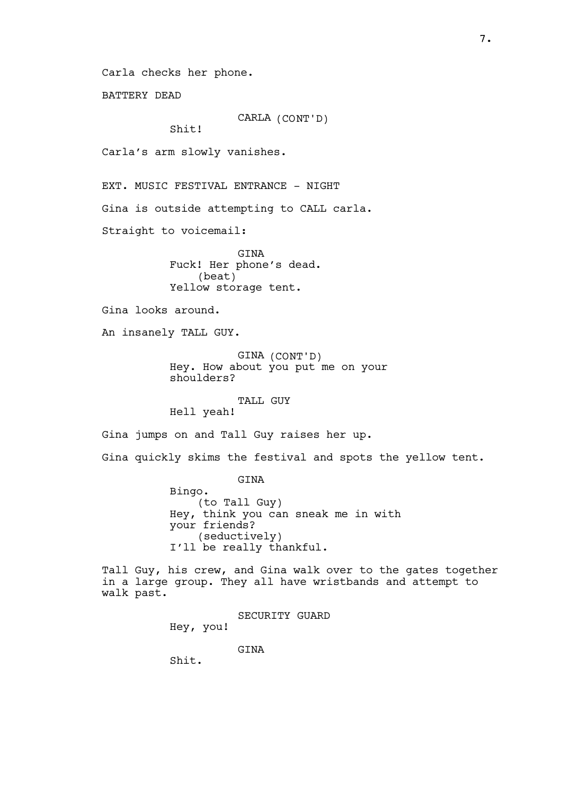Carla checks her phone.

BATTERY DEAD

CARLA (CONT'D)

Shit!

Carla's arm slowly vanishes.

EXT. MUSIC FESTIVAL ENTRANCE - NIGHT

Gina is outside attempting to CALL carla.

Straight to voicemail:

GINA Fuck! Her phone's dead. (beat) Yellow storage tent.

Gina looks around.

An insanely TALL GUY.

GINA (CONT'D) Hey. How about you put me on your shoulders?

TALL GUY

Hell yeah!

Gina jumps on and Tall Guy raises her up.

Gina quickly skims the festival and spots the yellow tent.

GINA

Bingo. (to Tall Guy) Hey, think you can sneak me in with your friends? (seductively) I'll be really thankful.

Tall Guy, his crew, and Gina walk over to the gates together in a large group. They all have wristbands and attempt to walk past.

> SECURITY GUARD Hey, you!

> > **GTNA**

Shit.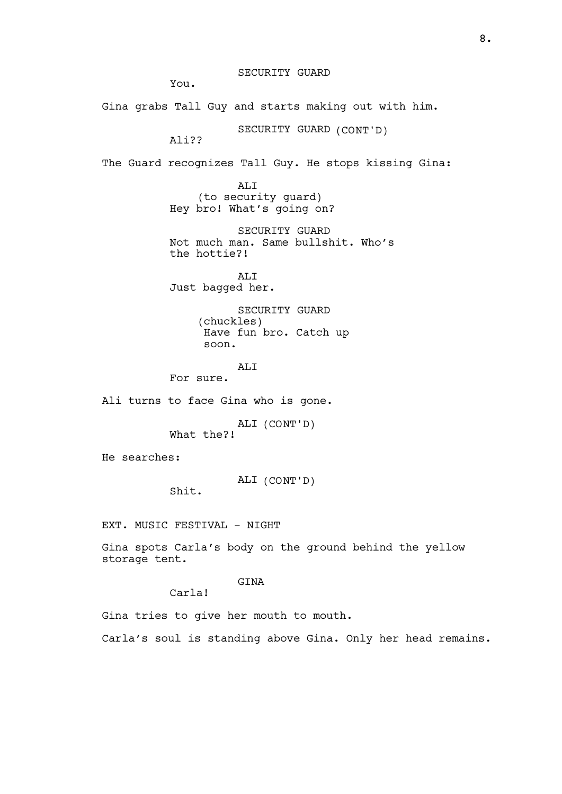You.

Gina grabs Tall Guy and starts making out with him.

SECURITY GUARD (CONT'D)

Ali??

The Guard recognizes Tall Guy. He stops kissing Gina:

ALI (to security guard) Hey bro! What's going on?

SECURITY GUARD Not much man. Same bullshit. Who's the hottie?!

AT<sub>I</sub>T Just bagged her.

> SECURITY GUARD (chuckles) Have fun bro. Catch up soon.

## AT<sub>I</sub>T

For sure.

Ali turns to face Gina who is gone.

ALI (CONT'D) What the?!

He searches:

ALI (CONT'D)

Shit.

EXT. MUSIC FESTIVAL - NIGHT

Gina spots Carla's body on the ground behind the yellow storage tent.

## GINA

Carla!

Gina tries to give her mouth to mouth.

Carla's soul is standing above Gina. Only her head remains.